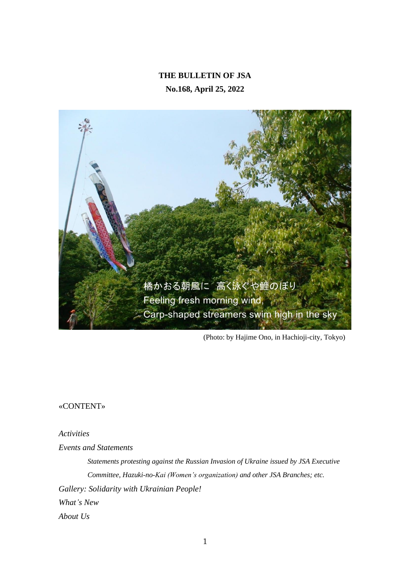# **THE BULLETIN OF JSA No.168, April 25, 2022**



(Photo: by Hajime Ono, in Hachioji-city, Tokyo)

«CONTENT»

*Activities*

*Events and Statements*

*Statements protesting against the Russian Invasion of Ukraine issued by JSA Executive Committee, Hazuki-no-Kai (Women's organization) and other JSA Branches; etc. Gallery: Solidarity with Ukrainian People! What's New About Us*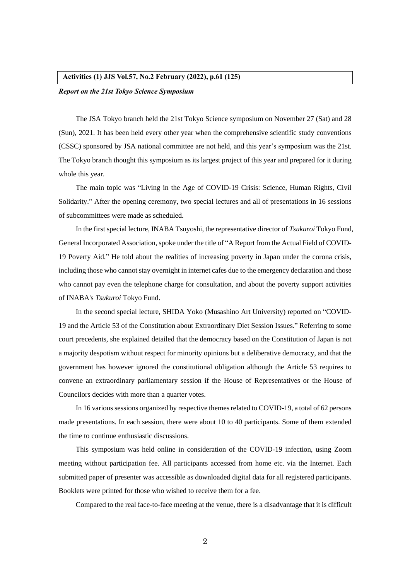#### **Activities (1) JJS Vol.57, No.2 February (2022), p.61 (125)**

#### *Report on the 21st Tokyo Science Symposium*

The JSA Tokyo branch held the 21st Tokyo Science symposium on November 27 (Sat) and 28 (Sun), 2021. It has been held every other year when the comprehensive scientific study conventions (CSSC) sponsored by JSA national committee are not held, and this year's symposium was the 21st. The Tokyo branch thought this symposium as its largest project of this year and prepared for it during whole this year.

The main topic was "Living in the Age of COVID-19 Crisis: Science, Human Rights, Civil Solidarity." After the opening ceremony, two special lectures and all of presentations in 16 sessions of subcommittees were made as scheduled.

In the first special lecture, INABA Tsuyoshi, the representative director of *Tsukuroi* Tokyo Fund, General Incorporated Association, spoke under the title of "A Report from the Actual Field of COVID-19 Poverty Aid." He told about the realities of increasing poverty in Japan under the corona crisis, including those who cannot stay overnight in internet cafes due to the emergency declaration and those who cannot pay even the telephone charge for consultation, and about the poverty support activities of INABA's *Tsukuroi* Tokyo Fund.

In the second special lecture, SHIDA Yoko (Musashino Art University) reported on "COVID-19 and the Article 53 of the Constitution about Extraordinary Diet Session Issues." Referring to some court precedents, she explained detailed that the democracy based on the Constitution of Japan is not a majority despotism without respect for minority opinions but a deliberative democracy, and that the government has however ignored the constitutional obligation although the Article 53 requires to convene an extraordinary parliamentary session if the House of Representatives or the House of Councilors decides with more than a quarter votes.

In 16 various sessions organized by respective themes related to COVID-19, a total of 62 persons made presentations. In each session, there were about 10 to 40 participants. Some of them extended the time to continue enthusiastic discussions.

This symposium was held online in consideration of the COVID-19 infection, using Zoom meeting without participation fee. All participants accessed from home etc. via the Internet. Each submitted paper of presenter was accessible as downloaded digital data for all registered participants. Booklets were printed for those who wished to receive them for a fee.

Compared to the real face-to-face meeting at the venue, there is a disadvantage that it is difficult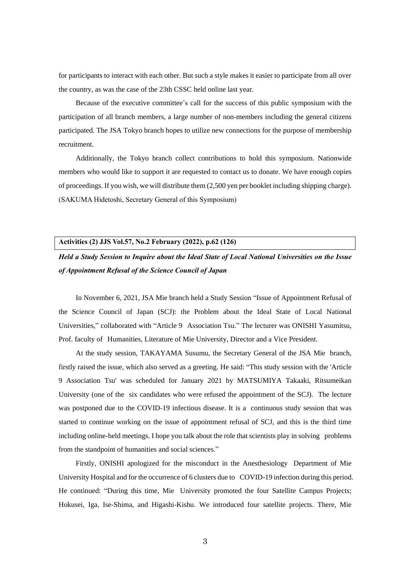for participants to interact with each other. But such a style makes it easier to participate from all over the country, as was the case of the 23th CSSC held online last year.

Because of the executive committee's call for the success of this public symposium with the participation of all branch members, a large number of non-members including the general citizens participated. The JSA Tokyo branch hopes to utilize new connections for the purpose of membership recruitment.

Additionally, the Tokyo branch collect contributions to hold this symposium. Nationwide members who would like to support it are requested to contact us to donate. We have enough copies of proceedings. If you wish, we will distribute them (2,500 yen per booklet including shipping charge). (SAKUMA Hidetoshi, Secretary General of this Symposium)

#### **Activities (2) JJS Vol.57, No.2 February (2022), p.62 (126)**

*Held a Study Session to Inquire about the Ideal State of Local National Universities on the Issue of Appointment Refusal of the Science Council of Japan*

In November 6, 2021, JSA Mie branch held a Study Session "Issue of Appointment Refusal of the Science Council of Japan (SCJ): the Problem about the Ideal State of Local National Universities," collaborated with "Article 9 Association Tsu." The lecturer was ONISHI Yasumitsu, Prof. faculty of Humanities, Literature of Mie University, Director and a Vice President.

At the study session, TAKAYAMA Susumu, the Secretary General of the JSA Mie branch, firstly raised the issue, which also served as a greeting. He said: "This study session with the 'Article 9 Association Tsu' was scheduled for January 2021 by MATSUMIYA Takaaki, Ritsumeikan University (one of the six candidates who were refused the appointment of the SCJ). The lecture was postponed due to the COVID-19 infectious disease. It is a continuous study session that was started to continue working on the issue of appointment refusal of SCJ, and this is the third time including online-held meetings. I hope you talk about the role that scientists play in solving problems from the standpoint of humanities and social sciences."

Firstly, ONISHI apologized for the misconduct in the Anesthesiology Department of Mie University Hospital and for the occurrence of 6 clusters due to COVID-19 infection during this period. He continued: "During this time, Mie University promoted the four Satellite Campus Projects; Hokusei, Iga, Ise-Shima, and Higashi-Kishu. We introduced four satellite projects. There, Mie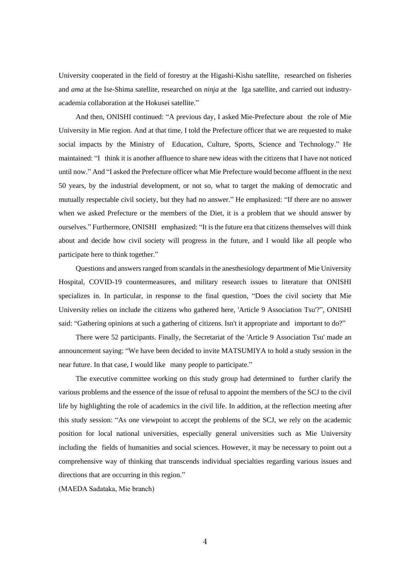University cooperated in the field of forestry at the Higashi-Kishu satellite, researched on fisheries and *ama* at the Ise-Shima satellite, researched on *ninja* at the Iga satellite, and carried out industryacademia collaboration at the Hokusei satellite."

And then, ONISHI continued: "A previous day, I asked Mie-Prefecture about the role of Mie University in Mie region. And at that time, I told the Prefecture officer that we are requested to make social impacts by the Ministry of Education, Culture, Sports, Science and Technology." He maintained: "I think it is another affluence to share new ideas with the citizens that I have not noticed until now." And "I asked the Prefecture officer what Mie Prefecture would become affluent in the next 50 years, by the industrial development, or not so, what to target the making of democratic and mutually respectable civil society, but they had no answer." He emphasized: "If there are no answer when we asked Prefecture or the members of the Diet, it is a problem that we should answer by ourselves." Furthermore, ONISHI emphasized: "It is the future era that citizens themselves will think about and decide how civil society will progress in the future, and I would like all people who participate here to think together."

Questions and answers ranged from scandals in the anesthesiology department of Mie University Hospital, COVID-19 countermeasures, and military research issues to literature that ONISHI specializes in. In particular, in response to the final question, "Does the civil society that Mie University relies on include the citizens who gathered here, 'Article 9 Association Tsu'?", ONISHI said: "Gathering opinions at such a gathering of citizens. Isn't it appropriate and important to do?"

There were 52 participants. Finally, the Secretariat of the 'Article 9 Association Tsu' made an announcement saying: "We have been decided to invite MATSUMIYA to hold a study session in the near future. In that case, I would like many people to participate."

The executive committee working on this study group had determined to further clarify the various problems and the essence of the issue of refusal to appoint the members of the SCJ to the civil life by highlighting the role of academics in the civil life. In addition, at the reflection meeting after this study session: "As one viewpoint to accept the problems of the SCJ, we rely on the academic position for local national universities, especially general universities such as Mie University including the fields of humanities and social sciences. However, it may be necessary to point out a comprehensive way of thinking that transcends individual specialties regarding various issues and directions that are occurring in this region."

(MAEDA Sadataka, Mie branch)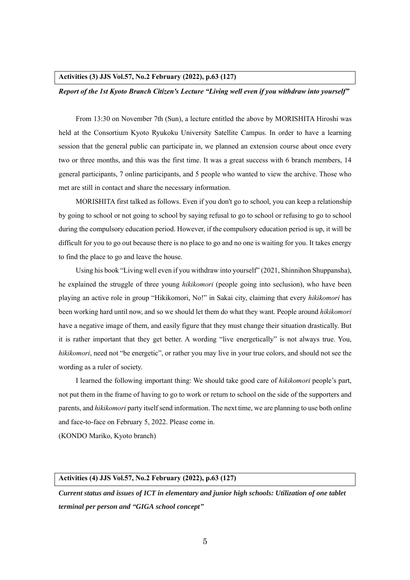#### **Activities (3) JJS Vol.57, No.2 February (2022), p.63 (127)**

#### *Report of the 1st Kyoto Branch Citizen's Lecture "Living well even if you withdraw into yourself"*

From 13:30 on November 7th (Sun), a lecture entitled the above by MORISHITA Hiroshi was held at the Consortium Kyoto Ryukoku University Satellite Campus. In order to have a learning session that the general public can participate in, we planned an extension course about once every two or three months, and this was the first time. It was a great success with 6 branch members, 14 general participants, 7 online participants, and 5 people who wanted to view the archive. Those who met are still in contact and share the necessary information.

MORISHITA first talked as follows. Even if you don't go to school, you can keep a relationship by going to school or not going to school by saying refusal to go to school or refusing to go to school during the compulsory education period. However, if the compulsory education period is up, it will be difficult for you to go out because there is no place to go and no one is waiting for you. It takes energy to find the place to go and leave the house.

Using his book "Living well even if you withdraw into yourself" (2021, Shinnihon Shuppansha), he explained the struggle of three young *hikikomori* (people going into seclusion), who have been playing an active role in group "Hikikomori, No!" in Sakai city, claiming that every *hikikomori* has been working hard until now, and so we should let them do what they want. People around *hikikomori* have a negative image of them, and easily figure that they must change their situation drastically. But it is rather important that they get better. A wording "live energetically" is not always true. You, *hikikomori*, need not "be energetic", or rather you may live in your true colors, and should not see the wording as a ruler of society.

I learned the following important thing: We should take good care of *hikikomori* people's part, not put them in the frame of having to go to work or return to school on the side of the supporters and parents, and *hikikomori* party itself send information. The next time, we are planning to use both online and face-to-face on February 5, 2022. Please come in.

(KONDO Mariko, Kyoto branch)

#### **Activities (4) JJS Vol.57, No.2 February (2022), p.63 (127)**

*Current status and issues of ICT in elementary and junior high schools: Utilization of one tablet terminal per person and "GIGA school concept"*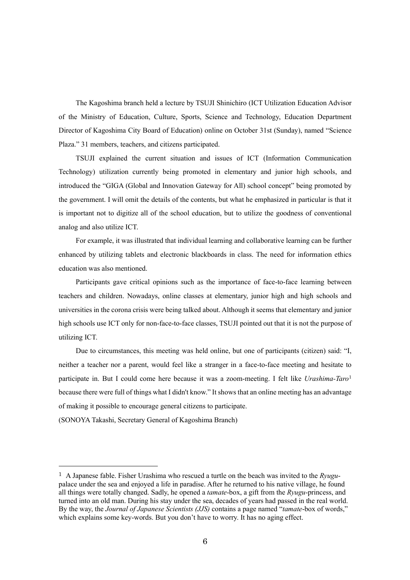The Kagoshima branch held a lecture by TSUJI Shinichiro (ICT Utilization Education Advisor of the Ministry of Education, Culture, Sports, Science and Technology, Education Department Director of Kagoshima City Board of Education) online on October 31st (Sunday), named "Science Plaza." 31 members, teachers, and citizens participated.

TSUJI explained the current situation and issues of ICT (Information Communication Technology) utilization currently being promoted in elementary and junior high schools, and introduced the "GIGA (Global and Innovation Gateway for All) school concept" being promoted by the government. I will omit the details of the contents, but what he emphasized in particular is that it is important not to digitize all of the school education, but to utilize the goodness of conventional analog and also utilize ICT.

For example, it was illustrated that individual learning and collaborative learning can be further enhanced by utilizing tablets and electronic blackboards in class. The need for information ethics education was also mentioned.

Participants gave critical opinions such as the importance of face-to-face learning between teachers and children. Nowadays, online classes at elementary, junior high and high schools and universities in the corona crisis were being talked about. Although it seems that elementary and junior high schools use ICT only for non-face-to-face classes, TSUJI pointed out that it is not the purpose of utilizing ICT.

Due to circumstances, this meeting was held online, but one of participants (citizen) said: "I, neither a teacher nor a parent, would feel like a stranger in a face-to-face meeting and hesitate to participate in. But I could come here because it was a zoom-meeting. I felt like *Urashima-Taro*<sup>1</sup> because there were full of things what I didn't know." It shows that an online meeting has an advantage of making it possible to encourage general citizens to participate.

(SONOYA Takashi, Secretary General of Kagoshima Branch)

<sup>1</sup> A Japanese fable. Fisher Urashima who rescued a turtle on the beach was invited to the *Ryugu*palace under the sea and enjoyed a life in paradise. After he returned to his native village, he found all things were totally changed. Sadly, he opened a *tamate*-box, a gift from the *Ryugu*-princess, and turned into an old man. During his stay under the sea, decades of years had passed in the real world. By the way, the *Journal of Japanese Scientists (JJS)* contains a page named "*tamate*-box of words," which explains some key-words. But you don't have to worry. It has no aging effect.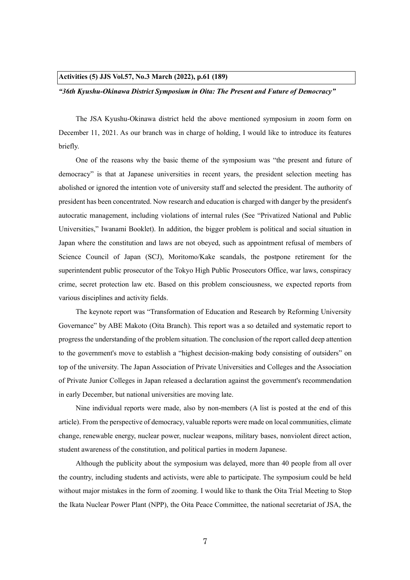#### **Activities (5) JJS Vol.57, No.3 March (2022), p.61 (189)**

#### *"36th Kyushu-Okinawa District Symposium in Oita: The Present and Future of Democracy"*

The JSA Kyushu-Okinawa district held the above mentioned symposium in zoom form on December 11, 2021. As our branch was in charge of holding, I would like to introduce its features briefly.

One of the reasons why the basic theme of the symposium was "the present and future of democracy" is that at Japanese universities in recent years, the president selection meeting has abolished or ignored the intention vote of university staff and selected the president. The authority of president has been concentrated. Now research and education is charged with danger by the president's autocratic management, including violations of internal rules (See "Privatized National and Public Universities," Iwanami Booklet). In addition, the bigger problem is political and social situation in Japan where the constitution and laws are not obeyed, such as appointment refusal of members of Science Council of Japan (SCJ), Moritomo/Kake scandals, the postpone retirement for the superintendent public prosecutor of the Tokyo High Public Prosecutors Office, war laws, conspiracy crime, secret protection law etc. Based on this problem consciousness, we expected reports from various disciplines and activity fields.

The keynote report was "Transformation of Education and Research by Reforming University Governance" by ABE Makoto (Oita Branch). This report was a so detailed and systematic report to progress the understanding of the problem situation. The conclusion of the report called deep attention to the government's move to establish a "highest decision-making body consisting of outsiders" on top of the university. The Japan Association of Private Universities and Colleges and the Association of Private Junior Colleges in Japan released a declaration against the government's recommendation in early December, but national universities are moving late.

Nine individual reports were made, also by non-members (A list is posted at the end of this article). From the perspective of democracy, valuable reports were made on local communities, climate change, renewable energy, nuclear power, nuclear weapons, military bases, nonviolent direct action, student awareness of the constitution, and political parties in modern Japanese.

Although the publicity about the symposium was delayed, more than 40 people from all over the country, including students and activists, were able to participate. The symposium could be held without major mistakes in the form of zooming. I would like to thank the Oita Trial Meeting to Stop the Ikata Nuclear Power Plant (NPP), the Oita Peace Committee, the national secretariat of JSA, the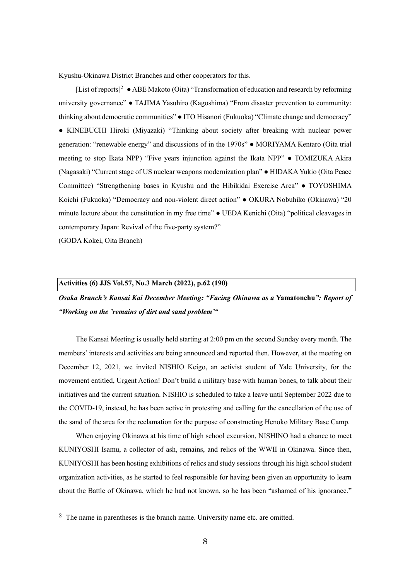Kyushu-Okinawa District Branches and other cooperators for this.

[List of reports]<sup>2</sup> ● ABE Makoto (Oita) "Transformation of education and research by reforming university governance" ● TAJIMA Yasuhiro (Kagoshima) "From disaster prevention to community: thinking about democratic communities" ● ITO Hisanori (Fukuoka) "Climate change and democracy" ● KINEBUCHI Hiroki (Miyazaki) "Thinking about society after breaking with nuclear power generation: "renewable energy" and discussions of in the 1970s" ● MORIYAMA Kentaro (Oita trial meeting to stop Ikata NPP) "Five years injunction against the Ikata NPP" ● TOMIZUKA Akira (Nagasaki) "Current stage of US nuclear weapons modernization plan" ● HIDAKA Yukio (Oita Peace Committee) "Strengthening bases in Kyushu and the Hibikidai Exercise Area" ● TOYOSHIMA Koichi (Fukuoka) "Democracy and non-violent direct action" ● OKURA Nobuhiko (Okinawa) "20 minute lecture about the constitution in my free time" ● UEDA Kenichi (Oita) "political cleavages in contemporary Japan: Revival of the five-party system?"

(GODA Kokei, Oita Branch)

#### **Activities (6) JJS Vol.57, No.3 March (2022), p.62 (190)**

*Osaka Branch's Kansai Kai December Meeting: "Facing Okinawa as a* **Yamatonchu***": Report of "Working on the 'remains of dirt and sand problem'"*

The Kansai Meeting is usually held starting at 2:00 pm on the second Sunday every month. The members' interests and activities are being announced and reported then. However, at the meeting on December 12, 2021, we invited NISHIO Keigo, an activist student of Yale University, for the movement entitled, Urgent Action! Don't build a military base with human bones, to talk about their initiatives and the current situation. NISHIO is scheduled to take a leave until September 2022 due to the COVID-19, instead, he has been active in protesting and calling for the cancellation of the use of the sand of the area for the reclamation for the purpose of constructing Henoko Military Base Camp.

When enjoying Okinawa at his time of high school excursion, NISHINO had a chance to meet KUNIYOSHI Isamu, a collector of ash, remains, and relics of the WWII in Okinawa. Since then, KUNIYOSHI has been hosting exhibitions of relics and study sessions through his high school student organization activities, as he started to feel responsible for having been given an opportunity to learn about the Battle of Okinawa, which he had not known, so he has been "ashamed of his ignorance."

 $2$  The name in parentheses is the branch name. University name etc. are omitted.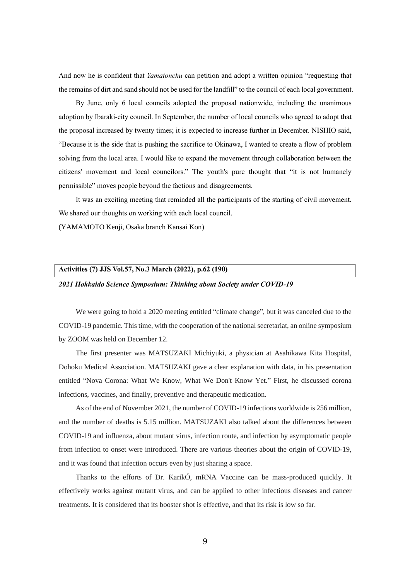And now he is confident that *Yamatonchu* can petition and adopt a written opinion "requesting that the remains of dirt and sand should not be used for the landfill" to the council of each local government.

By June, only 6 local councils adopted the proposal nationwide, including the unanimous adoption by Ibaraki-city council. In September, the number of local councils who agreed to adopt that the proposal increased by twenty times; it is expected to increase further in December. NISHIO said, "Because it is the side that is pushing the sacrifice to Okinawa, I wanted to create a flow of problem solving from the local area. I would like to expand the movement through collaboration between the citizens' movement and local councilors." The youth's pure thought that "it is not humanely permissible" moves people beyond the factions and disagreements.

It was an exciting meeting that reminded all the participants of the starting of civil movement. We shared our thoughts on working with each local council.

(YAMAMOTO Kenji, Osaka branch Kansai Kon)

# **Activities (7) JJS Vol.57, No.3 March (2022), p.62 (190)**

#### *2021 Hokkaido Science Symposium: Thinking about Society under COVID-19*

We were going to hold a 2020 meeting entitled "climate change", but it was canceled due to the COVID-19 pandemic. This time, with the cooperation of the national secretariat, an online symposium by ZOOM was held on December 12.

The first presenter was MATSUZAKI Michiyuki, a physician at Asahikawa Kita Hospital, Dohoku Medical Association. MATSUZAKI gave a clear explanation with data, in his presentation entitled "Nova Corona: What We Know, What We Don't Know Yet." First, he discussed corona infections, vaccines, and finally, preventive and therapeutic medication.

As of the end of November 2021, the number of COVID-19 infections worldwide is 256 million, and the number of deaths is 5.15 million. MATSUZAKI also talked about the differences between COVID-19 and influenza, about mutant virus, infection route, and infection by asymptomatic people from infection to onset were introduced. There are various theories about the origin of COVID-19, and it was found that infection occurs even by just sharing a space.

Thanks to the efforts of Dr. KarikÓ, mRNA Vaccine can be mass-produced quickly. It effectively works against mutant virus, and can be applied to other infectious diseases and cancer treatments. It is considered that its booster shot is effective, and that its risk is low so far.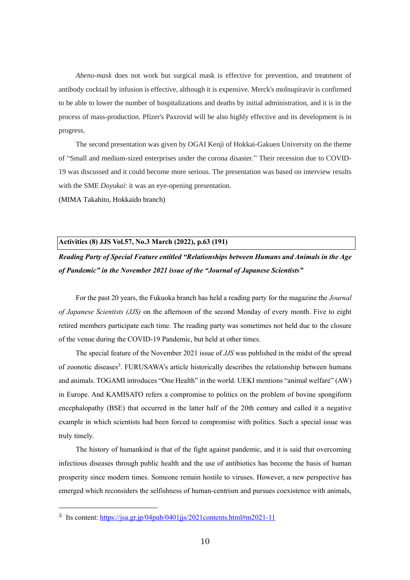*Abeno-mask* does not work but surgical mask is effective for prevention, and treatment of antibody cocktail by infusion is effective, although it is expensive. Merck's molnupiravir is confirmed to be able to lower the number of hospitalizations and deaths by initial administration, and it is in the process of mass-production. Pfizer's Paxrovid will be also highly effective and its development is in progress.

The second presentation was given by OGAI Kenji of Hokkai-Gakuen University on the theme of "Small and medium-sized enterprises under the corona disaster." Their recession due to COVID-19 was discussed and it could become more serious. The presentation was based on interview results with the SME *Doyukai*: it was an eye-opening presentation.

(MIMA Takahito, Hokkaido branch)

#### **Activities (8) JJS Vol.57, No.3 March (2022), p.63 (191)**

*Reading Party of Special Feature entitled "Relationships between Humans and Animals in the Age of Pandemic" in the November 2021 issue of the "Journal of Japanese Scientists"*

For the past 20 years, the Fukuoka branch has held a reading party for the magazine the *Journal of Japanese Scientists (JJS)* on the afternoon of the second Monday of every month. Five to eight retired members participate each time. The reading party was sometimes not held due to the closure of the venue during the COVID-19 Pandemic, but held at other times.

The special feature of the November 2021 issue of *JJS* was published in the midst of the spread of zoonotic diseases<sup>3</sup>. FURUSAWA's article historically describes the relationship between humans and animals. TOGAMI introduces "One Health" in the world. UEKI mentions "animal welfare" (AW) in Europe. And KAMISATO refers a compromise to politics on the problem of bovine spongiform encephalopathy (BSE) that occurred in the latter half of the 20th century and called it a negative example in which scientists had been forced to compromise with politics. Such a special issue was truly timely.

The history of humankind is that of the fight against pandemic, and it is said that overcoming infectious diseases through public health and the use of antibiotics has become the basis of human prosperity since modern times. Someone remain hostile to viruses. However, a new perspective has emerged which reconsiders the selfishness of human-centrism and pursues coexistence with animals,

<sup>3</sup> Its content:<https://jsa.gr.jp/04pub/0401jjs/2021contents.html#m2021-11>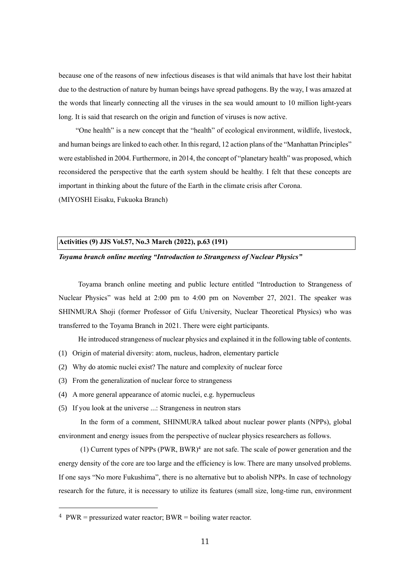because one of the reasons of new infectious diseases is that wild animals that have lost their habitat due to the destruction of nature by human beings have spread pathogens. By the way, I was amazed at the words that linearly connecting all the viruses in the sea would amount to 10 million light-years long. It is said that research on the origin and function of viruses is now active.

"One health" is a new concept that the "health" of ecological environment, wildlife, livestock, and human beings are linked to each other. In this regard, 12 action plans of the "Manhattan Principles" were established in 2004. Furthermore, in 2014, the concept of "planetary health" was proposed, which reconsidered the perspective that the earth system should be healthy. I felt that these concepts are important in thinking about the future of the Earth in the climate crisis after Corona.

(MIYOSHI Eisaku, Fukuoka Branch)

#### **Activities (9) JJS Vol.57, No.3 March (2022), p.63 (191)**

#### *Toyama branch online meeting "Introduction to Strangeness of Nuclear Physics"*

Toyama branch online meeting and public lecture entitled "Introduction to Strangeness of Nuclear Physics" was held at 2:00 pm to 4:00 pm on November 27, 2021. The speaker was SHINMURA Shoji (former Professor of Gifu University, Nuclear Theoretical Physics) who was transferred to the Toyama Branch in 2021. There were eight participants.

He introduced strangeness of nuclear physics and explained it in the following table of contents.

- (1) Origin of material diversity: atom, nucleus, hadron, elementary particle
- (2) Why do atomic nuclei exist? The nature and complexity of nuclear force
- (3) From the generalization of nuclear force to strangeness
- (4) A more general appearance of atomic nuclei, e.g. hypernucleus
- (5) If you look at the universe ...: Strangeness in neutron stars

In the form of a comment, SHINMURA talked about nuclear power plants (NPPs), global environment and energy issues from the perspective of nuclear physics researchers as follows.

(1) Current types of NPPs  $(PWR, BWR)^4$  are not safe. The scale of power generation and the energy density of the core are too large and the efficiency is low. There are many unsolved problems. If one says "No more Fukushima", there is no alternative but to abolish NPPs. In case of technology research for the future, it is necessary to utilize its features (small size, long-time run, environment

 $4$  PWR = pressurized water reactor; BWR = boiling water reactor.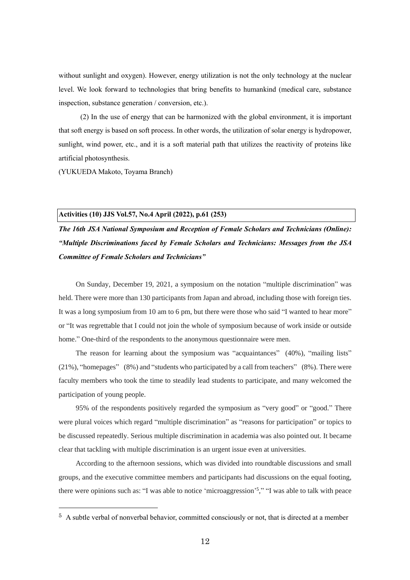without sunlight and oxygen). However, energy utilization is not the only technology at the nuclear level. We look forward to technologies that bring benefits to humankind (medical care, substance inspection, substance generation / conversion, etc.).

(2) In the use of energy that can be harmonized with the global environment, it is important that soft energy is based on soft process. In other words, the utilization of solar energy is hydropower, sunlight, wind power, etc., and it is a soft material path that utilizes the reactivity of proteins like artificial photosynthesis.

(YUKUEDA Makoto, Toyama Branch)

#### **Activities (10) JJS Vol.57, No.4 April (2022), p.61 (253)**

*The 16th JSA National Symposium and Reception of Female Scholars and Technicians (Online): "Multiple Discriminations faced by Female Scholars and Technicians: Messages from the JSA Committee of Female Scholars and Technicians"*

On Sunday, December 19, 2021, a symposium on the notation "multiple discrimination" was held. There were more than 130 participants from Japan and abroad, including those with foreign ties. It was a long symposium from 10 am to 6 pm, but there were those who said "I wanted to hear more" or "It was regrettable that I could not join the whole of symposium because of work inside or outside home." One-third of the respondents to the anonymous questionnaire were men.

The reason for learning about the symposium was "acquaintances" (40%), "mailing lists" (21%), "homepages" (8%) and "students who participated by a call from teachers" (8%). There were faculty members who took the time to steadily lead students to participate, and many welcomed the participation of young people.

95% of the respondents positively regarded the symposium as "very good" or "good." There were plural voices which regard "multiple discrimination" as "reasons for participation" or topics to be discussed repeatedly. Serious multiple discrimination in academia was also pointed out. It became clear that tackling with multiple discrimination is an urgent issue even at universities.

According to the afternoon sessions, which was divided into roundtable discussions and small groups, and the executive committee members and participants had discussions on the equal footing, there were opinions such as: "I was able to notice 'microaggression'<sup>5</sup>," "I was able to talk with peace

 $5$  A subtle verbal of nonverbal behavior, committed consciously or not, that is directed at a member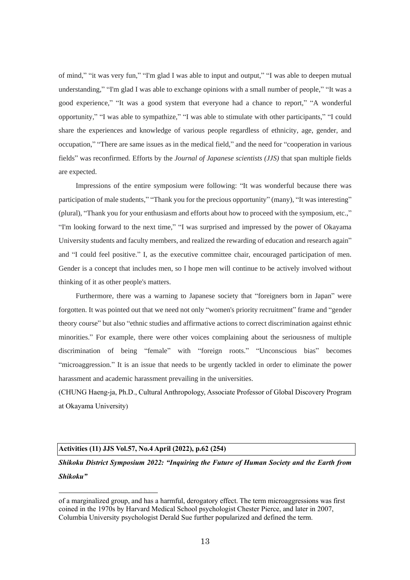of mind," "it was very fun," "I'm glad I was able to input and output," "I was able to deepen mutual understanding," "I'm glad I was able to exchange opinions with a small number of people," "It was a good experience," "It was a good system that everyone had a chance to report," "A wonderful opportunity," "I was able to sympathize," "I was able to stimulate with other participants," "I could share the experiences and knowledge of various people regardless of ethnicity, age, gender, and occupation," "There are same issues as in the medical field," and the need for "cooperation in various fields" was reconfirmed. Efforts by the *Journal of Japanese scientists (JJS)* that span multiple fields are expected.

Impressions of the entire symposium were following: "It was wonderful because there was participation of male students," "Thank you for the precious opportunity" (many), "It was interesting" (plural), "Thank you for your enthusiasm and efforts about how to proceed with the symposium, etc.," "I'm looking forward to the next time," "I was surprised and impressed by the power of Okayama University students and faculty members, and realized the rewarding of education and research again" and "I could feel positive." I, as the executive committee chair, encouraged participation of men. Gender is a concept that includes men, so I hope men will continue to be actively involved without thinking of it as other people's matters.

Furthermore, there was a warning to Japanese society that "foreigners born in Japan" were forgotten. It was pointed out that we need not only "women's priority recruitment" frame and "gender theory course" but also "ethnic studies and affirmative actions to correct discrimination against ethnic minorities." For example, there were other voices complaining about the seriousness of multiple discrimination of being "female" with "foreign roots." "Unconscious bias" becomes "microaggression." It is an issue that needs to be urgently tackled in order to eliminate the power harassment and academic harassment prevailing in the universities.

(CHUNG Haeng-ja, Ph.D., Cultural Anthropology, Associate Professor of Global Discovery Program at Okayama University)

### **Activities (11) JJS Vol.57, No.4 April (2022), p.62 (254)**

*Shikoku District Symposium 2022: "Inquiring the Future of Human Society and the Earth from Shikoku"*

of a marginalized group, and has a harmful, derogatory effect. The term microaggressions was first coined in the 1970s by Harvard Medical School psychologist Chester Pierce, and later in 2007, Columbia University psychologist Derald Sue further popularized and defined the term.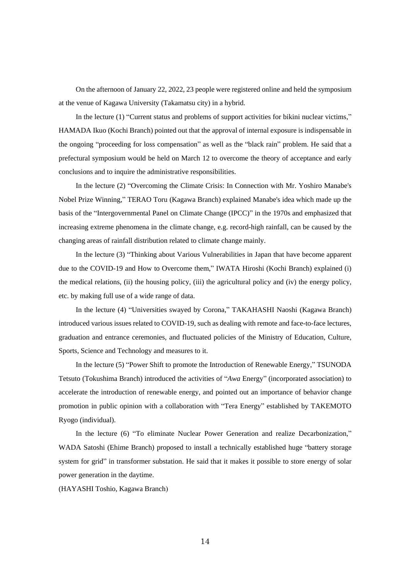On the afternoon of January 22, 2022, 23 people were registered online and held the symposium at the venue of Kagawa University (Takamatsu city) in a hybrid.

In the lecture (1) "Current status and problems of support activities for bikini nuclear victims," HAMADA Ikuo (Kochi Branch) pointed out that the approval of internal exposure is indispensable in the ongoing "proceeding for loss compensation" as well as the "black rain" problem. He said that a prefectural symposium would be held on March 12 to overcome the theory of acceptance and early conclusions and to inquire the administrative responsibilities.

In the lecture (2) "Overcoming the Climate Crisis: In Connection with Mr. Yoshiro Manabe's Nobel Prize Winning," TERAO Toru (Kagawa Branch) explained Manabe's idea which made up the basis of the "Intergovernmental Panel on Climate Change (IPCC)" in the 1970s and emphasized that increasing extreme phenomena in the climate change, e.g. record-high rainfall, can be caused by the changing areas of rainfall distribution related to climate change mainly.

In the lecture (3) "Thinking about Various Vulnerabilities in Japan that have become apparent due to the COVID-19 and How to Overcome them," IWATA Hiroshi (Kochi Branch) explained (i) the medical relations, (ii) the housing policy, (iii) the agricultural policy and (iv) the energy policy, etc. by making full use of a wide range of data.

In the lecture (4) "Universities swayed by Corona," TAKAHASHI Naoshi (Kagawa Branch) introduced various issues related to COVID-19, such as dealing with remote and face-to-face lectures, graduation and entrance ceremonies, and fluctuated policies of the Ministry of Education, Culture, Sports, Science and Technology and measures to it.

In the lecture (5) "Power Shift to promote the Introduction of Renewable Energy," TSUNODA Tetsuto (Tokushima Branch) introduced the activities of "*Awa* Energy" (incorporated association) to accelerate the introduction of renewable energy, and pointed out an importance of behavior change promotion in public opinion with a collaboration with "Tera Energy" established by TAKEMOTO Ryogo (individual).

In the lecture (6) "To eliminate Nuclear Power Generation and realize Decarbonization," WADA Satoshi (Ehime Branch) proposed to install a technically established huge "battery storage system for grid" in transformer substation. He said that it makes it possible to store energy of solar power generation in the daytime.

(HAYASHI Toshio, Kagawa Branch)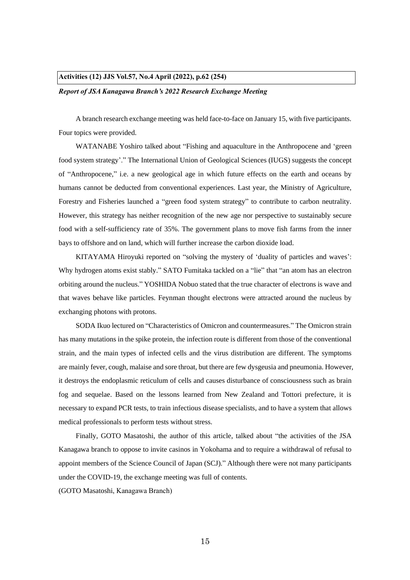#### **Activities (12) JJS Vol.57, No.4 April (2022), p.62 (254)**

#### *Report of JSA Kanagawa Branch's 2022 Research Exchange Meeting*

A branch research exchange meeting was held face-to-face on January 15, with five participants. Four topics were provided.

WATANABE Yoshiro talked about "Fishing and aquaculture in the Anthropocene and 'green food system strategy'." The International Union of Geological Sciences (IUGS) suggests the concept of "Anthropocene," i.e. a new geological age in which future effects on the earth and oceans by humans cannot be deducted from conventional experiences. Last year, the Ministry of Agriculture, Forestry and Fisheries launched a "green food system strategy" to contribute to carbon neutrality. However, this strategy has neither recognition of the new age nor perspective to sustainably secure food with a self-sufficiency rate of 35%. The government plans to move fish farms from the inner bays to offshore and on land, which will further increase the carbon dioxide load.

KITAYAMA Hiroyuki reported on "solving the mystery of 'duality of particles and waves': Why hydrogen atoms exist stably." SATO Fumitaka tackled on a "lie" that "an atom has an electron orbiting around the nucleus." YOSHIDA Nobuo stated that the true character of electrons is wave and that waves behave like particles. Feynman thought electrons were attracted around the nucleus by exchanging photons with protons.

SODA Ikuo lectured on "Characteristics of Omicron and countermeasures." The Omicron strain has many mutations in the spike protein, the infection route is different from those of the conventional strain, and the main types of infected cells and the virus distribution are different. The symptoms are mainly fever, cough, malaise and sore throat, but there are few dysgeusia and pneumonia. However, it destroys the endoplasmic reticulum of cells and causes disturbance of consciousness such as brain fog and sequelae. Based on the lessons learned from New Zealand and Tottori prefecture, it is necessary to expand PCR tests, to train infectious disease specialists, and to have a system that allows medical professionals to perform tests without stress.

Finally, GOTO Masatoshi, the author of this article, talked about "the activities of the JSA Kanagawa branch to oppose to invite casinos in Yokohama and to require a withdrawal of refusal to appoint members of the Science Council of Japan (SCJ)." Although there were not many participants under the COVID-19, the exchange meeting was full of contents.

(GOTO Masatoshi, Kanagawa Branch)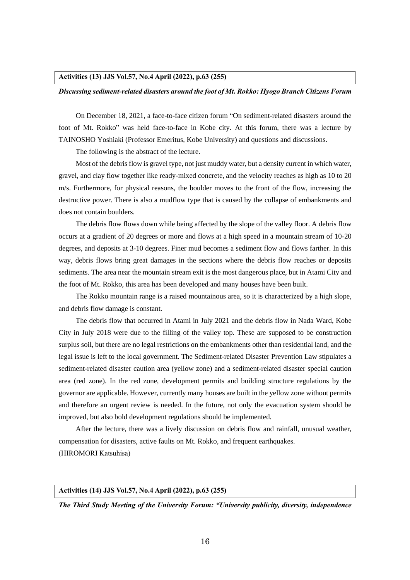#### **Activities (13) JJS Vol.57, No.4 April (2022), p.63 (255)**

#### *Discussing sediment-related disasters around the foot of Mt. Rokko: Hyogo Branch Citizens Forum*

On December 18, 2021, a face-to-face citizen forum "On sediment-related disasters around the foot of Mt. Rokko" was held face-to-face in Kobe city. At this forum, there was a lecture by TAINOSHO Yoshiaki (Professor Emeritus, Kobe University) and questions and discussions.

The following is the abstract of the lecture.

Most of the debris flow is gravel type, not just muddy water, but a density current in which water, gravel, and clay flow together like ready-mixed concrete, and the velocity reaches as high as 10 to 20 m/s. Furthermore, for physical reasons, the boulder moves to the front of the flow, increasing the destructive power. There is also a mudflow type that is caused by the collapse of embankments and does not contain boulders.

The debris flow flows down while being affected by the slope of the valley floor. A debris flow occurs at a gradient of 20 degrees or more and flows at a high speed in a mountain stream of 10-20 degrees, and deposits at 3-10 degrees. Finer mud becomes a sediment flow and flows farther. In this way, debris flows bring great damages in the sections where the debris flow reaches or deposits sediments. The area near the mountain stream exit is the most dangerous place, but in Atami City and the foot of Mt. Rokko, this area has been developed and many houses have been built.

The Rokko mountain range is a raised mountainous area, so it is characterized by a high slope, and debris flow damage is constant.

The debris flow that occurred in Atami in July 2021 and the debris flow in Nada Ward, Kobe City in July 2018 were due to the filling of the valley top. These are supposed to be construction surplus soil, but there are no legal restrictions on the embankments other than residential land, and the legal issue is left to the local government. The Sediment-related Disaster Prevention Law stipulates a sediment-related disaster caution area (yellow zone) and a sediment-related disaster special caution area (red zone). In the red zone, development permits and building structure regulations by the governor are applicable. However, currently many houses are built in the yellow zone without permits and therefore an urgent review is needed. In the future, not only the evacuation system should be improved, but also bold development regulations should be implemented.

After the lecture, there was a lively discussion on debris flow and rainfall, unusual weather, compensation for disasters, active faults on Mt. Rokko, and frequent earthquakes. (HIROMORI Katsuhisa)

#### **Activities (14) JJS Vol.57, No.4 April (2022), p.63 (255)**

*The Third Study Meeting of the University Forum: "University publicity, diversity, independence*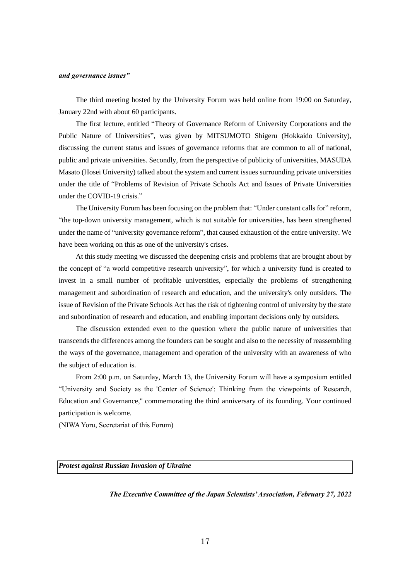#### *and governance issues"*

The third meeting hosted by the University Forum was held online from 19:00 on Saturday, January 22nd with about 60 participants.

The first lecture, entitled "Theory of Governance Reform of University Corporations and the Public Nature of Universities", was given by MITSUMOTO Shigeru (Hokkaido University), discussing the current status and issues of governance reforms that are common to all of national, public and private universities. Secondly, from the perspective of publicity of universities, MASUDA Masato (Hosei University) talked about the system and current issues surrounding private universities under the title of "Problems of Revision of Private Schools Act and Issues of Private Universities under the COVID-19 crisis."

The University Forum has been focusing on the problem that: "Under constant calls for" reform, "the top-down university management, which is not suitable for universities, has been strengthened under the name of "university governance reform", that caused exhaustion of the entire university. We have been working on this as one of the university's crises.

At this study meeting we discussed the deepening crisis and problems that are brought about by the concept of "a world competitive research university", for which a university fund is created to invest in a small number of profitable universities, especially the problems of strengthening management and subordination of research and education, and the university's only outsiders. The issue of Revision of the Private Schools Act has the risk of tightening control of university by the state and subordination of research and education, and enabling important decisions only by outsiders.

The discussion extended even to the question where the public nature of universities that transcends the differences among the founders can be sought and also to the necessity of reassembling the ways of the governance, management and operation of the university with an awareness of who the subject of education is.

From 2:00 p.m. on Saturday, March 13, the University Forum will have a symposium entitled "University and Society as the 'Center of Science': Thinking from the viewpoints of Research, Education and Governance," commemorating the third anniversary of its founding. Your continued participation is welcome.

(NIWA Yoru, Secretariat of this Forum)

*Protest against Russian Invasion of Ukraine*

*The Executive Committee of the Japan Scientists' Association, February 27, 2022*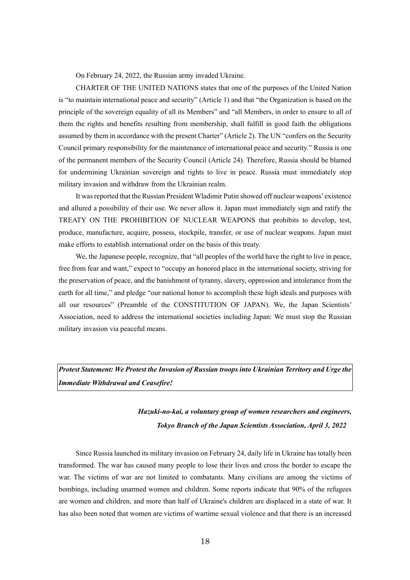On February 24, 2022, the Russian army invaded Ukraine.

CHARTER OF THE UNITED NATIONS states that one of the purposes of the United Nation is "to maintain international peace and security" (Article 1) and that "the Organization is based on the principle of the sovereign equality of all its Members" and "all Members, in order to ensure to all of them the rights and benefits resulting from membership, shall fulfill in good faith the obligations assumed by them in accordance with the present Charter" (Article 2). The UN "confers on the Security Council primary responsibility for the maintenance of international peace and security." Russia is one of the permanent members of the Security Council (Article 24). Therefore, Russia should be blamed for undermining Ukrainian sovereign and rights to live in peace. Russia must immediately stop military invasion and withdraw from the Ukrainian realm.

It was reported that the Russian President Wladimir Putin showed off nuclear weapons' existence and allured a possibility of their use. We never allow it. Japan must immediately sign and ratify the TREATY ON THE PROHIBITION OF NUCLEAR WEAPONS that prohibits to develop, test, produce, manufacture, acquire, possess, stockpile, transfer, or use of nuclear weapons. Japan must make efforts to establish international order on the basis of this treaty.

We, the Japanese people, recognize, that "all peoples of the world have the right to live in peace, free from fear and want," expect to "occupy an honored place in the international society, striving for the preservation of peace, and the banishment of tyranny, slavery, oppression and intolerance from the earth for all time," and pledge "our national honor to accomplish these high ideals and purposes with all our resources" (Preamble of the CONSTITUTION OF JAPAN). We, the Japan Scientists' Association, need to address the international societies including Japan: We must stop the Russian military invasion via peaceful means.

*Protest Statement: We Protest the Invasion of Russian troops into Ukrainian Territory and Urge the Immediate Withdrawal and Ceasefire!*

# *Hazuki-no-kai, a voluntary group of women researchers and engineers, Tokyo Branch of the Japan Scientists Association, April 3, 2022*

Since Russia launched its military invasion on February 24, daily life in Ukraine has totally been transformed. The war has caused many people to lose their lives and cross the border to escape the war. The victims of war are not limited to combatants. Many civilians are among the victims of bombings, including unarmed women and children. Some reports indicate that 90% of the refugees are women and children, and more than half of Ukraine's children are displaced in a state of war. It has also been noted that women are victims of wartime sexual violence and that there is an increased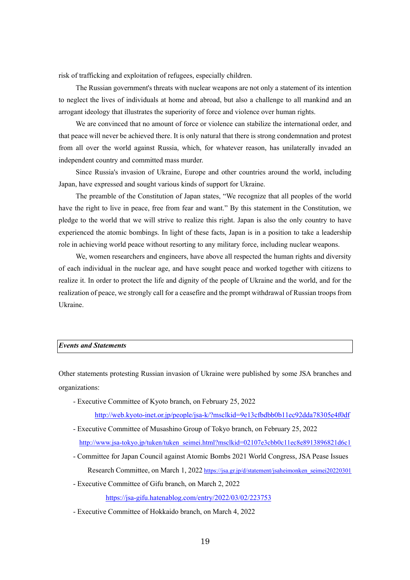risk of trafficking and exploitation of refugees, especially children.

The Russian government's threats with nuclear weapons are not only a statement of its intention to neglect the lives of individuals at home and abroad, but also a challenge to all mankind and an arrogant ideology that illustrates the superiority of force and violence over human rights.

We are convinced that no amount of force or violence can stabilize the international order, and that peace will never be achieved there. It is only natural that there is strong condemnation and protest from all over the world against Russia, which, for whatever reason, has unilaterally invaded an independent country and committed mass murder.

Since Russia's invasion of Ukraine, Europe and other countries around the world, including Japan, have expressed and sought various kinds of support for Ukraine.

The preamble of the Constitution of Japan states, "We recognize that all peoples of the world have the right to live in peace, free from fear and want." By this statement in the Constitution, we pledge to the world that we will strive to realize this right. Japan is also the only country to have experienced the atomic bombings. In light of these facts, Japan is in a position to take a leadership role in achieving world peace without resorting to any military force, including nuclear weapons.

We, women researchers and engineers, have above all respected the human rights and diversity of each individual in the nuclear age, and have sought peace and worked together with citizens to realize it. In order to protect the life and dignity of the people of Ukraine and the world, and for the realization of peace, we strongly call for a ceasefire and the prompt withdrawal of Russian troops from Ukraine.

### *Events and Statements*

Other statements protesting Russian invasion of Ukraine were published by some JSA branches and organizations:

- Executive Committee of Kyoto branch, on February 25, 2022

<http://web.kyoto-inet.or.jp/people/jsa-k/?msclkid=9e13cfbdbb0b11ec92dda78305e4f0df>

- Executive Committee of Musashino Group of Tokyo branch, on February 25, 2022 [http://www.jsa-tokyo.jp/tuken/tuken\\_seimei.html?msclkid=02107e3cbb0c11ec8e8913896821d6c1](http://www.jsa-tokyo.jp/tuken/tuken_seimei.html?msclkid=02107e3cbb0c11ec8e8913896821d6c1)
- Committee for Japan Council against Atomic Bombs 2021 World Congress, JSA Pease Issues Research Committee, on March 1, 2022 [https://jsa.gr.jp/d/statement/jsaheimonken\\_seimei20220301](https://jsa.gr.jp/d/statement/jsaheimonken_seimei20220301)
- Executive Committee of Gifu branch, on March 2, 2022

<https://jsa-gifu.hatenablog.com/entry/2022/03/02/223753>

- Executive Committee of Hokkaido branch, on March 4, 2022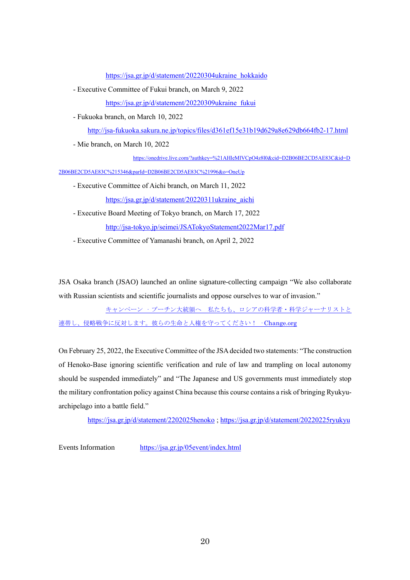[https://jsa.gr.jp/d/statement/20220304ukraine\\_hokkaido](https://jsa.gr.jp/d/statement/20220304ukraine_hokkaido)

- Executive Committee of Fukui branch, on March 9, 2022 [https://jsa.gr.jp/d/statement/20220309ukraine\\_fukui](https://jsa.gr.jp/d/statement/20220309ukraine_fukui)
- Fukuoka branch, on March 10, 2022

<http://jsa-fukuoka.sakura.ne.jp/topics/files/d361ef15e31b19d629a8e629db664fb2-17.html>

- Mie branch, on March 10, 2022

[https://onedrive.live.com/?authkey=%21AHleMlVCpO4z8l0&cid=D2B06BE2CD5AE83C&id=D](https://onedrive.live.com/?authkey=%21AHleMlVCpO4z8l0&cid=D2B06BE2CD5AE83C&id=D2B06BE2CD5AE83C%215346&parId=D2B06BE2CD5AE83C%21996&o=OneUp)

[2B06BE2CD5AE83C%215346&parId=D2B06BE2CD5AE83C%21996&o=OneUp](https://onedrive.live.com/?authkey=%21AHleMlVCpO4z8l0&cid=D2B06BE2CD5AE83C&id=D2B06BE2CD5AE83C%215346&parId=D2B06BE2CD5AE83C%21996&o=OneUp)

- Executive Committee of Aichi branch, on March 11, 2022 [https://jsa.gr.jp/d/statement/20220311ukraine\\_aichi](https://jsa.gr.jp/d/statement/20220311ukraine_aichi)
- Executive Board Meeting of Tokyo branch, on March 17, 2022 <http://jsa-tokyo.jp/seimei/JSATokyoStatement2022Mar17.pdf>

- Executive Committee of Yamanashi branch, on April 2, 2022

JSA Osaka branch (JSAO) launched an online signature-collecting campaign "We also collaborate with Russian scientists and scientific journalists and oppose ourselves to war of invasion."

 キャンペーン · プーチン大統領へ [私たちも、ロシアの科学者・科学ジャーナリストと](https://www.change.org/p/%E3%83%97%E3%83%BC%E3%83%81%E3%83%B3%E5%A4%A7%E7%B5%B1%E9%A0%98%E3%81%B8-%E7%A7%81%E3%81%9F%E3%81%A1%E3%82%82-%E3%83%AD%E3%82%B7%E3%82%A2%E3%81%AE%E7%A7%91%E5%AD%A6%E8%80%85-%E7%A7%91%E5%AD%A6%E3%82%B8%E3%83%A3%E3%83%BC%E3%83%8A%E3%83%AA%E3%82%B9%E3%83%88%E3%81%A8%E9%80%A3%E5%B8%AF%E3%81%97-%E4%BE%B5%E7%95%A5%E6%88%A6%E4%BA%89%E3%81%AB%E5%8F%8D%E5%AF%BE%E3%81%97%E3%81%BE%E3%81%99-%E5%BD%BC%E3%82%89%E3%81%AE%E7%94%9F%E5%91%BD%E3%81%A8%E4%BA%BA%E6%A8%A9%E3%82%92%E5%AE%88%E3%81%A3%E3%81%A6%E3%81%8F%E3%81%A0%E3%81%95%E3%81%84) [連帯し、侵略戦争に反対します。彼らの生命と人権を守ってください!](https://www.change.org/p/%E3%83%97%E3%83%BC%E3%83%81%E3%83%B3%E5%A4%A7%E7%B5%B1%E9%A0%98%E3%81%B8-%E7%A7%81%E3%81%9F%E3%81%A1%E3%82%82-%E3%83%AD%E3%82%B7%E3%82%A2%E3%81%AE%E7%A7%91%E5%AD%A6%E8%80%85-%E7%A7%91%E5%AD%A6%E3%82%B8%E3%83%A3%E3%83%BC%E3%83%8A%E3%83%AA%E3%82%B9%E3%83%88%E3%81%A8%E9%80%A3%E5%B8%AF%E3%81%97-%E4%BE%B5%E7%95%A5%E6%88%A6%E4%BA%89%E3%81%AB%E5%8F%8D%E5%AF%BE%E3%81%97%E3%81%BE%E3%81%99-%E5%BD%BC%E3%82%89%E3%81%AE%E7%94%9F%E5%91%BD%E3%81%A8%E4%BA%BA%E6%A8%A9%E3%82%92%E5%AE%88%E3%81%A3%E3%81%A6%E3%81%8F%E3%81%A0%E3%81%95%E3%81%84)·Change.org

On February 25, 2022, the Executive Committee of the JSAdecided two statements: "The construction of Henoko-Base ignoring scientific verification and rule of law and trampling on local autonomy should be suspended immediately" and "The Japanese and US governments must immediately stop the military confrontation policy against China because this course contains a risk of bringing Ryukyuarchipelago into a battle field."

<https://jsa.gr.jp/d/statement/2202025henoko> [; https://jsa.gr.jp/d/statement/20220225ryukyu](https://jsa.gr.jp/d/statement/20220225ryukyu)

Events Information <https://jsa.gr.jp/05event/index.html>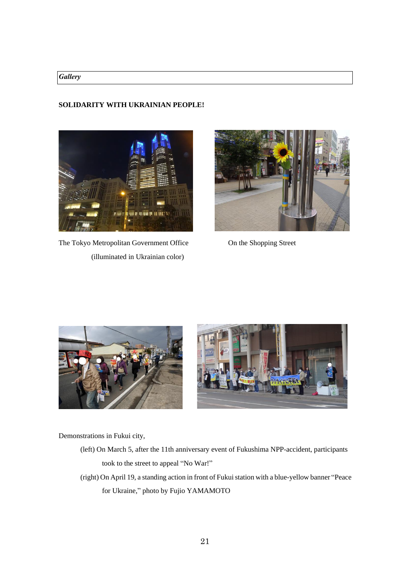# *Gallery*

# **SOLIDARITY WITH UKRAINIAN PEOPLE!**



The Tokyo Metropolitan Government Office On the Shopping Street (illuminated in Ukrainian color)







Demonstrations in Fukui city,

- (left) On March 5, after the 11th anniversary event of Fukushima NPP-accident, participants took to the street to appeal "No War!"
- (right) On April 19, a standing action in front of Fukui station with a blue-yellow banner "Peace for Ukraine," photo by Fujio YAMAMOTO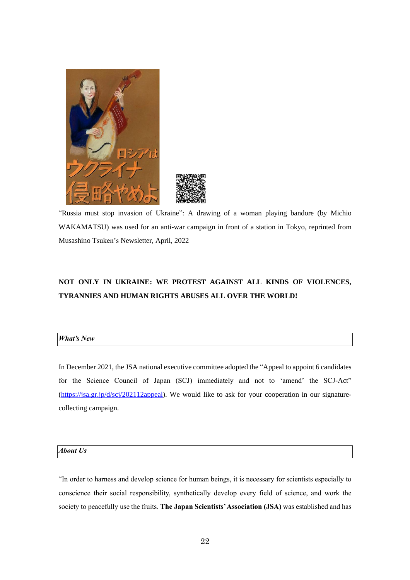



"Russia must stop invasion of Ukraine": A drawing of a woman playing bandore (by Michio WAKAMATSU) was used for an anti-war campaign in front of a station in Tokyo, reprinted from Musashino Tsuken's Newsletter, April, 2022

# **NOT ONLY IN UKRAINE: WE PROTEST AGAINST ALL KINDS OF VIOLENCES, TYRANNIES AND HUMAN RIGHTS ABUSES ALL OVER THE WORLD!**

### *What's New*

In December 2021, the JSA national executive committee adopted the "Appeal to appoint 6 candidates for the Science Council of Japan (SCJ) immediately and not to 'amend' the SCJ-Act" [\(https://jsa.gr.jp/d/scj/202112appeal\)](https://jsa.gr.jp/d/scj/202112appeal). We would like to ask for your cooperation in our signaturecollecting campaign.

# *About Us*

"In order to harness and develop science for human beings, it is necessary for scientists especially to conscience their social responsibility, synthetically develop every field of science, and work the society to peacefully use the fruits. **The Japan Scientists'Association (JSA)** was established and has